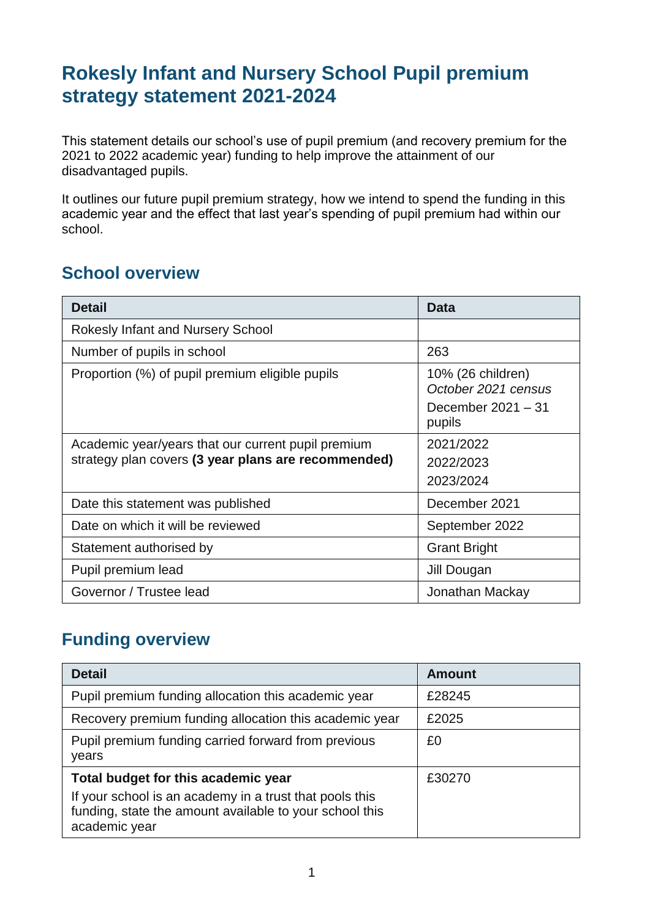## **Rokesly Infant and Nursery School Pupil premium strategy statement 2021-2024**

This statement details our school's use of pupil premium (and recovery premium for the 2021 to 2022 academic year) funding to help improve the attainment of our disadvantaged pupils.

It outlines our future pupil premium strategy, how we intend to spend the funding in this academic year and the effect that last year's spending of pupil premium had within our school.

#### **School overview**

| <b>Detail</b>                                       | <b>Data</b>                              |
|-----------------------------------------------------|------------------------------------------|
| <b>Rokesly Infant and Nursery School</b>            |                                          |
| Number of pupils in school                          | 263                                      |
| Proportion (%) of pupil premium eligible pupils     | 10% (26 children)<br>October 2021 census |
|                                                     | December 2021 - 31<br>pupils             |
| Academic year/years that our current pupil premium  | 2021/2022                                |
| strategy plan covers (3 year plans are recommended) | 2022/2023                                |
|                                                     | 2023/2024                                |
| Date this statement was published                   | December 2021                            |
| Date on which it will be reviewed                   | September 2022                           |
| Statement authorised by                             | <b>Grant Bright</b>                      |
| Pupil premium lead                                  | Jill Dougan                              |
| Governor / Trustee lead                             | Jonathan Mackay                          |

#### **Funding overview**

| <b>Detail</b>                                                                                                                                                              | <b>Amount</b> |
|----------------------------------------------------------------------------------------------------------------------------------------------------------------------------|---------------|
| Pupil premium funding allocation this academic year                                                                                                                        | £28245        |
| Recovery premium funding allocation this academic year                                                                                                                     | £2025         |
| Pupil premium funding carried forward from previous<br>years                                                                                                               | £0            |
| Total budget for this academic year<br>If your school is an academy in a trust that pools this<br>funding, state the amount available to your school this<br>academic year | £30270        |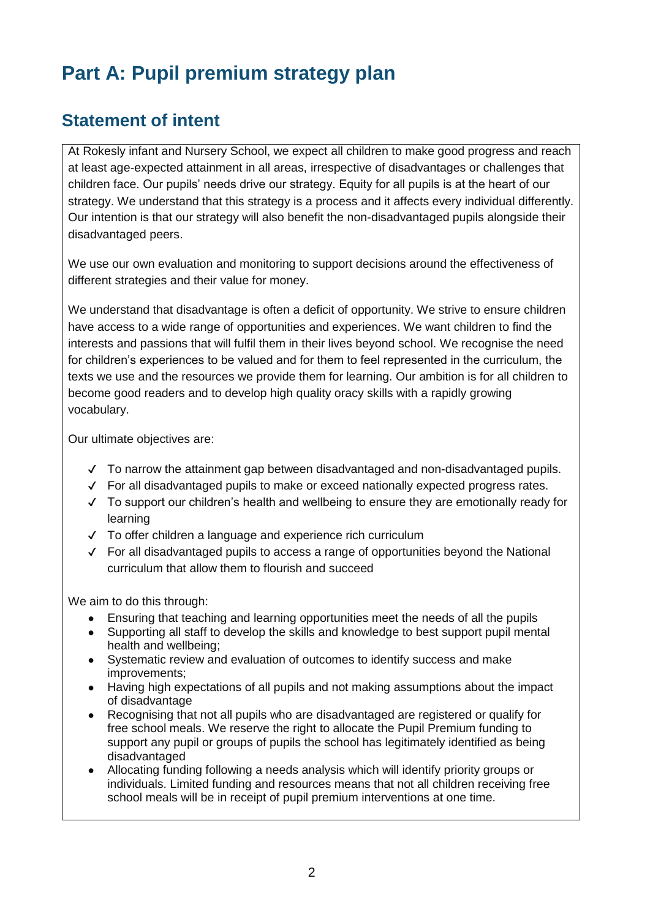# **Part A: Pupil premium strategy plan**

### **Statement of intent**

At Rokesly infant and Nursery School, we expect all children to make good progress and reach at least age-expected attainment in all areas, irrespective of disadvantages or challenges that children face. Our pupils' needs drive our strategy. Equity for all pupils is at the heart of our strategy. We understand that this strategy is a process and it affects every individual differently. Our intention is that our strategy will also benefit the non-disadvantaged pupils alongside their disadvantaged peers.

We use our own evaluation and monitoring to support decisions around the effectiveness of different strategies and their value for money.

We understand that disadvantage is often a deficit of opportunity. We strive to ensure children have access to a wide range of opportunities and experiences. We want children to find the interests and passions that will fulfil them in their lives beyond school. We recognise the need for children's experiences to be valued and for them to feel represented in the curriculum, the texts we use and the resources we provide them for learning. Our ambition is for all children to become good readers and to develop high quality oracy skills with a rapidly growing vocabulary.

Our ultimate objectives are:

- ✔ To narrow the attainment gap between disadvantaged and non-disadvantaged pupils.
- ✔ For all disadvantaged pupils to make or exceed nationally expected progress rates.
- ✔ To support our children's health and wellbeing to ensure they are emotionally ready for learning
- ✔ To offer children a language and experience rich curriculum
- ✔ For all disadvantaged pupils to access a range of opportunities beyond the National curriculum that allow them to flourish and succeed

We aim to do this through:

- Ensuring that teaching and learning opportunities meet the needs of all the pupils
- Supporting all staff to develop the skills and knowledge to best support pupil mental health and wellbeing;
- Systematic review and evaluation of outcomes to identify success and make improvements;
- Having high expectations of all pupils and not making assumptions about the impact of disadvantage
- Recognising that not all pupils who are disadvantaged are registered or qualify for free school meals. We reserve the right to allocate the Pupil Premium funding to support any pupil or groups of pupils the school has legitimately identified as being disadvantaged
- Allocating funding following a needs analysis which will identify priority groups or individuals. Limited funding and resources means that not all children receiving free school meals will be in receipt of pupil premium interventions at one time.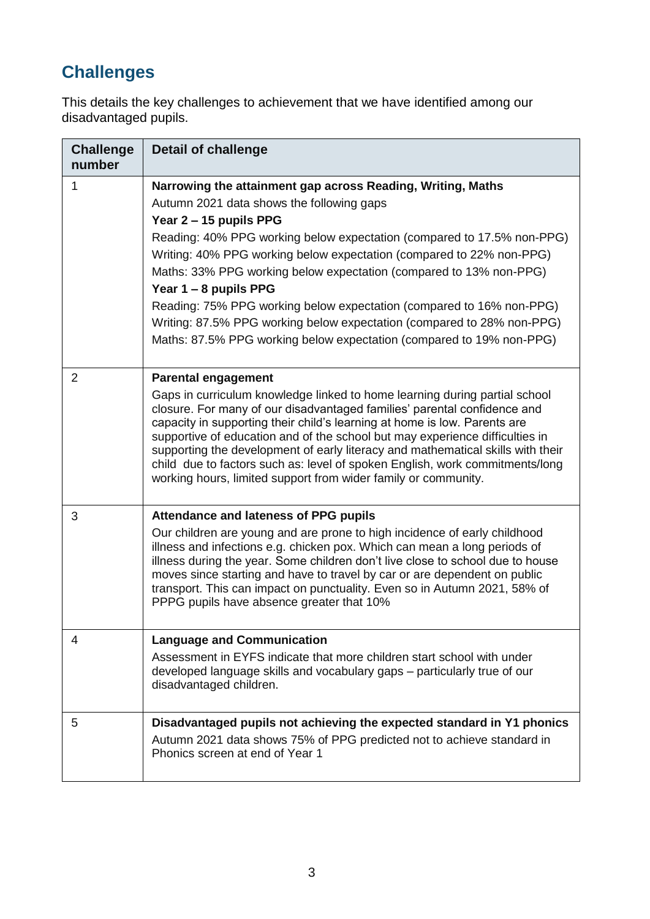## **Challenges**

This details the key challenges to achievement that we have identified among our disadvantaged pupils.

| <b>Challenge</b><br>number | <b>Detail of challenge</b>                                                                                                                                                                                                                                                                                                                                                                                                                                                                                                                                                                                    |
|----------------------------|---------------------------------------------------------------------------------------------------------------------------------------------------------------------------------------------------------------------------------------------------------------------------------------------------------------------------------------------------------------------------------------------------------------------------------------------------------------------------------------------------------------------------------------------------------------------------------------------------------------|
| 1                          | Narrowing the attainment gap across Reading, Writing, Maths<br>Autumn 2021 data shows the following gaps<br>Year 2 - 15 pupils PPG<br>Reading: 40% PPG working below expectation (compared to 17.5% non-PPG)<br>Writing: 40% PPG working below expectation (compared to 22% non-PPG)<br>Maths: 33% PPG working below expectation (compared to 13% non-PPG)<br>Year 1 - 8 pupils PPG<br>Reading: 75% PPG working below expectation (compared to 16% non-PPG)<br>Writing: 87.5% PPG working below expectation (compared to 28% non-PPG)<br>Maths: 87.5% PPG working below expectation (compared to 19% non-PPG) |
| $\overline{2}$             | <b>Parental engagement</b><br>Gaps in curriculum knowledge linked to home learning during partial school<br>closure. For many of our disadvantaged families' parental confidence and<br>capacity in supporting their child's learning at home is low. Parents are<br>supportive of education and of the school but may experience difficulties in<br>supporting the development of early literacy and mathematical skills with their<br>child due to factors such as: level of spoken English, work commitments/long<br>working hours, limited support from wider family or community.                        |
| 3                          | Attendance and lateness of PPG pupils<br>Our children are young and are prone to high incidence of early childhood<br>illness and infections e.g. chicken pox. Which can mean a long periods of<br>illness during the year. Some children don't live close to school due to house<br>moves since starting and have to travel by car or are dependent on public<br>transport. This can impact on punctuality. Even so in Autumn 2021, 58% of<br>PPPG pupils have absence greater that 10%                                                                                                                      |
| 4                          | <b>Language and Communication</b><br>Assessment in EYFS indicate that more children start school with under<br>developed language skills and vocabulary gaps - particularly true of our<br>disadvantaged children.                                                                                                                                                                                                                                                                                                                                                                                            |
| 5                          | Disadvantaged pupils not achieving the expected standard in Y1 phonics<br>Autumn 2021 data shows 75% of PPG predicted not to achieve standard in<br>Phonics screen at end of Year 1                                                                                                                                                                                                                                                                                                                                                                                                                           |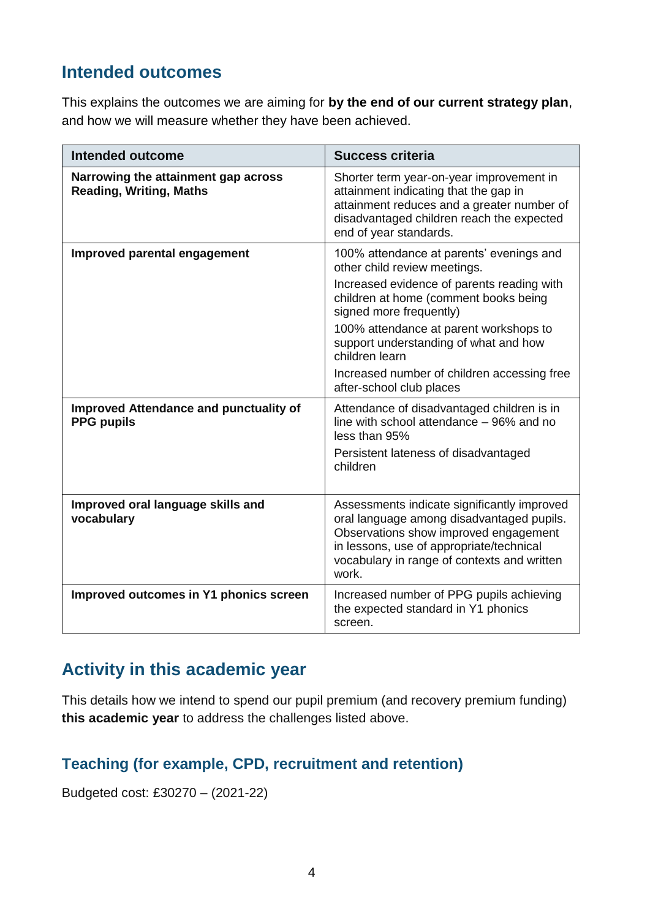### **Intended outcomes**

This explains the outcomes we are aiming for **by the end of our current strategy plan**, and how we will measure whether they have been achieved.

| Intended outcome                                                      | <b>Success criteria</b>                                                                                                                                                                                                               |
|-----------------------------------------------------------------------|---------------------------------------------------------------------------------------------------------------------------------------------------------------------------------------------------------------------------------------|
| Narrowing the attainment gap across<br><b>Reading, Writing, Maths</b> | Shorter term year-on-year improvement in<br>attainment indicating that the gap in<br>attainment reduces and a greater number of<br>disadvantaged children reach the expected<br>end of year standards.                                |
| Improved parental engagement                                          | 100% attendance at parents' evenings and<br>other child review meetings.<br>Increased evidence of parents reading with                                                                                                                |
|                                                                       | children at home (comment books being<br>signed more frequently)                                                                                                                                                                      |
|                                                                       | 100% attendance at parent workshops to<br>support understanding of what and how<br>children learn                                                                                                                                     |
|                                                                       | Increased number of children accessing free<br>after-school club places                                                                                                                                                               |
| Improved Attendance and punctuality of<br><b>PPG pupils</b>           | Attendance of disadvantaged children is in<br>line with school attendance - 96% and no<br>less than 95%                                                                                                                               |
|                                                                       | Persistent lateness of disadvantaged<br>children                                                                                                                                                                                      |
| Improved oral language skills and<br>vocabulary                       | Assessments indicate significantly improved<br>oral language among disadvantaged pupils.<br>Observations show improved engagement<br>in lessons, use of appropriate/technical<br>vocabulary in range of contexts and written<br>work. |
| Improved outcomes in Y1 phonics screen                                | Increased number of PPG pupils achieving<br>the expected standard in Y1 phonics<br>screen.                                                                                                                                            |

### **Activity in this academic year**

This details how we intend to spend our pupil premium (and recovery premium funding) **this academic year** to address the challenges listed above.

#### **Teaching (for example, CPD, recruitment and retention)**

Budgeted cost: £30270 – (2021-22)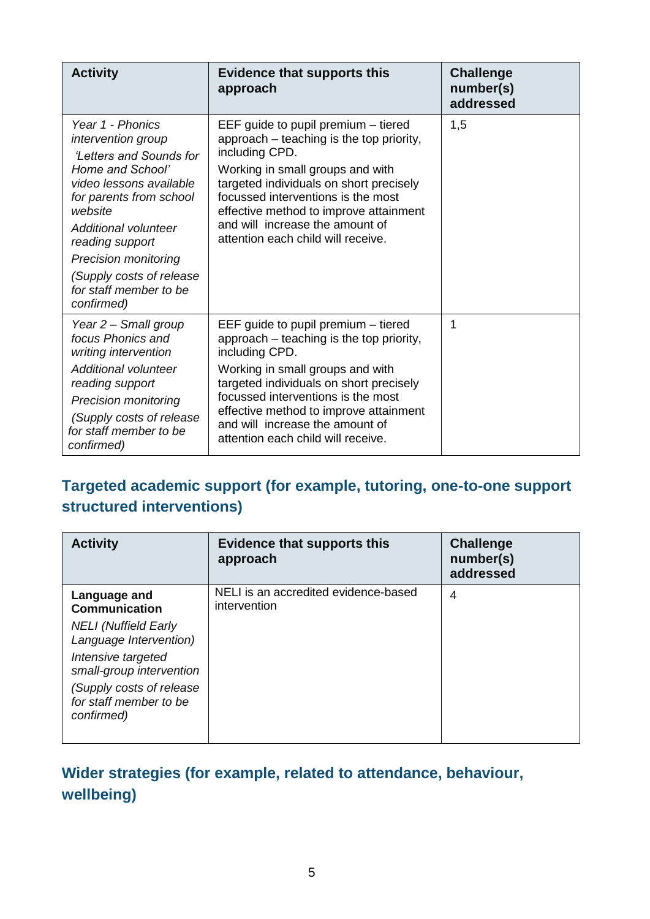| <b>Activity</b>                                                                                                                                                                                                                                                                                     | <b>Evidence that supports this</b><br>approach                                                                                                                                                                                                                                                                                            | <b>Challenge</b><br>number(s)<br>addressed |
|-----------------------------------------------------------------------------------------------------------------------------------------------------------------------------------------------------------------------------------------------------------------------------------------------------|-------------------------------------------------------------------------------------------------------------------------------------------------------------------------------------------------------------------------------------------------------------------------------------------------------------------------------------------|--------------------------------------------|
| Year 1 - Phonics<br><i>intervention group</i><br><b>Letters and Sounds for</b><br>Home and School'<br>video lessons available<br>for parents from school<br>website<br>Additional volunteer<br>reading support<br><b>Precision monitoring</b><br>(Supply costs of release<br>for staff member to be | EEF guide to pupil premium – tiered<br>approach – teaching is the top priority,<br>including CPD.<br>Working in small groups and with<br>targeted individuals on short precisely<br>focussed interventions is the most<br>effective method to improve attainment<br>and will increase the amount of<br>attention each child will receive. | 1,5                                        |
| confirmed)                                                                                                                                                                                                                                                                                          |                                                                                                                                                                                                                                                                                                                                           |                                            |
| Year 2 - Small group<br>focus Phonics and<br>writing intervention                                                                                                                                                                                                                                   | EEF guide to pupil premium - tiered<br>approach – teaching is the top priority,<br>including CPD.                                                                                                                                                                                                                                         | 1                                          |
| <b>Additional volunteer</b><br>reading support<br><b>Precision monitoring</b>                                                                                                                                                                                                                       | Working in small groups and with<br>targeted individuals on short precisely<br>focussed interventions is the most                                                                                                                                                                                                                         |                                            |
| (Supply costs of release<br>for staff member to be<br>confirmed)                                                                                                                                                                                                                                    | effective method to improve attainment<br>and will increase the amount of<br>attention each child will receive.                                                                                                                                                                                                                           |                                            |

#### **Targeted academic support (for example, tutoring, one-to-one support structured interventions)**

| <b>Activity</b>                                                  | <b>Evidence that supports this</b><br>approach       | <b>Challenge</b><br>number(s)<br>addressed |
|------------------------------------------------------------------|------------------------------------------------------|--------------------------------------------|
| Language and<br><b>Communication</b>                             | NELI is an accredited evidence-based<br>intervention | $\overline{4}$                             |
| <b>NELI</b> (Nuffield Early<br>Language Intervention)            |                                                      |                                            |
| Intensive targeted<br>small-group intervention                   |                                                      |                                            |
| (Supply costs of release<br>for staff member to be<br>confirmed) |                                                      |                                            |

### **Wider strategies (for example, related to attendance, behaviour, wellbeing)**